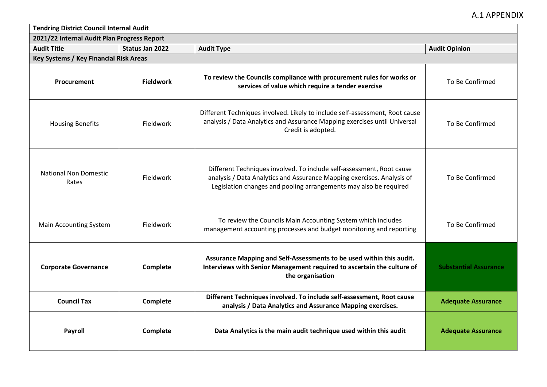| <b>Tendring District Council Internal Audit</b> |                        |                                                                                                                                                                                                                      |                              |
|-------------------------------------------------|------------------------|----------------------------------------------------------------------------------------------------------------------------------------------------------------------------------------------------------------------|------------------------------|
| 2021/22 Internal Audit Plan Progress Report     |                        |                                                                                                                                                                                                                      |                              |
| <b>Audit Title</b>                              | <b>Status Jan 2022</b> | <b>Audit Type</b>                                                                                                                                                                                                    | <b>Audit Opinion</b>         |
| Key Systems / Key Financial Risk Areas          |                        |                                                                                                                                                                                                                      |                              |
| Procurement                                     | <b>Fieldwork</b>       | To review the Councils compliance with procurement rules for works or<br>services of value which require a tender exercise                                                                                           | To Be Confirmed              |
| <b>Housing Benefits</b>                         | Fieldwork              | Different Techniques involved. Likely to include self-assessment, Root cause<br>analysis / Data Analytics and Assurance Mapping exercises until Universal<br>Credit is adopted.                                      | To Be Confirmed              |
| <b>National Non Domestic</b><br>Rates           | Fieldwork              | Different Techniques involved. To include self-assessment, Root cause<br>analysis / Data Analytics and Assurance Mapping exercises. Analysis of<br>Legislation changes and pooling arrangements may also be required | To Be Confirmed              |
| Main Accounting System                          | Fieldwork              | To review the Councils Main Accounting System which includes<br>management accounting processes and budget monitoring and reporting                                                                                  | To Be Confirmed              |
| <b>Corporate Governance</b>                     | Complete               | Assurance Mapping and Self-Assessments to be used within this audit.<br>Interviews with Senior Management required to ascertain the culture of<br>the organisation                                                   | <b>Substantial Assurance</b> |
| <b>Council Tax</b>                              | Complete               | Different Techniques involved. To include self-assessment, Root cause<br>analysis / Data Analytics and Assurance Mapping exercises.                                                                                  | <b>Adequate Assurance</b>    |
| Payroll                                         | Complete               | Data Analytics is the main audit technique used within this audit                                                                                                                                                    | <b>Adequate Assurance</b>    |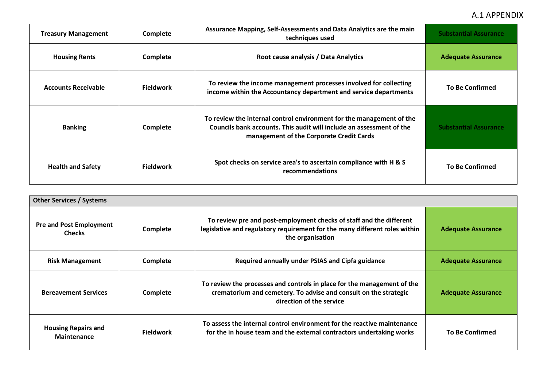| <b>Treasury Management</b> | Complete         | Assurance Mapping, Self-Assessments and Data Analytics are the main<br>techniques used                                                                                                   | <b>Substantial Assurance</b> |
|----------------------------|------------------|------------------------------------------------------------------------------------------------------------------------------------------------------------------------------------------|------------------------------|
| <b>Housing Rents</b>       | Complete         | Root cause analysis / Data Analytics                                                                                                                                                     | <b>Adequate Assurance</b>    |
| <b>Accounts Receivable</b> | <b>Fieldwork</b> | To review the income management processes involved for collecting<br>income within the Accountancy department and service departments                                                    | <b>To Be Confirmed</b>       |
| <b>Banking</b>             | Complete         | To review the internal control environment for the management of the<br>Councils bank accounts. This audit will include an assessment of the<br>management of the Corporate Credit Cards | <b>Substantial Assurance</b> |
| <b>Health and Safety</b>   | <b>Fieldwork</b> | Spot checks on service area's to ascertain compliance with H & S<br>recommendations                                                                                                      | <b>To Be Confirmed</b>       |

| <b>Other Services / Systems</b>                  |                  |                                                                                                                                                                         |                           |
|--------------------------------------------------|------------------|-------------------------------------------------------------------------------------------------------------------------------------------------------------------------|---------------------------|
| <b>Pre and Post Employment</b><br><b>Checks</b>  | Complete         | To review pre and post-employment checks of staff and the different<br>legislative and regulatory requirement for the many different roles within<br>the organisation   | <b>Adequate Assurance</b> |
| <b>Risk Management</b>                           | Complete         | Required annually under PSIAS and Cipfa guidance                                                                                                                        | <b>Adequate Assurance</b> |
| <b>Bereavement Services</b>                      | Complete         | To review the processes and controls in place for the management of the<br>crematorium and cemetery. To advise and consult on the strategic<br>direction of the service | <b>Adequate Assurance</b> |
| <b>Housing Repairs and</b><br><b>Maintenance</b> | <b>Fieldwork</b> | To assess the internal control environment for the reactive maintenance<br>for the in house team and the external contractors undertaking works                         | <b>To Be Confirmed</b>    |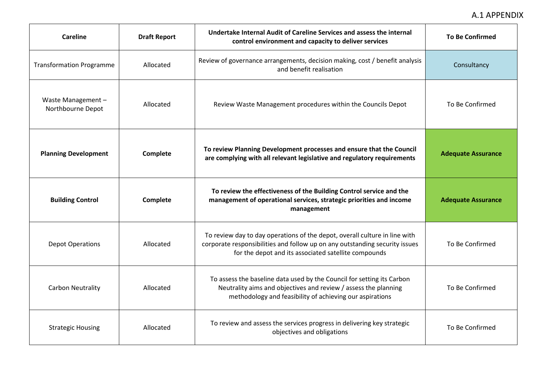| <b>Careline</b>                        | <b>Draft Report</b> | Undertake Internal Audit of Careline Services and assess the internal<br>control environment and capacity to deliver services                                                                                     | <b>To Be Confirmed</b>    |
|----------------------------------------|---------------------|-------------------------------------------------------------------------------------------------------------------------------------------------------------------------------------------------------------------|---------------------------|
| <b>Transformation Programme</b>        | Allocated           | Review of governance arrangements, decision making, cost / benefit analysis<br>and benefit realisation                                                                                                            | Consultancy               |
| Waste Management-<br>Northbourne Depot | Allocated           | Review Waste Management procedures within the Councils Depot                                                                                                                                                      | To Be Confirmed           |
| <b>Planning Development</b>            | Complete            | To review Planning Development processes and ensure that the Council<br>are complying with all relevant legislative and regulatory requirements                                                                   | <b>Adequate Assurance</b> |
| <b>Building Control</b>                | Complete            | To review the effectiveness of the Building Control service and the<br>management of operational services, strategic priorities and income<br>management                                                          | <b>Adequate Assurance</b> |
| <b>Depot Operations</b>                | Allocated           | To review day to day operations of the depot, overall culture in line with<br>corporate responsibilities and follow up on any outstanding security issues<br>for the depot and its associated satellite compounds | To Be Confirmed           |
| Carbon Neutrality                      | Allocated           | To assess the baseline data used by the Council for setting its Carbon<br>Neutrality aims and objectives and review / assess the planning<br>methodology and feasibility of achieving our aspirations             | To Be Confirmed           |
| <b>Strategic Housing</b>               | Allocated           | To review and assess the services progress in delivering key strategic<br>objectives and obligations                                                                                                              | To Be Confirmed           |